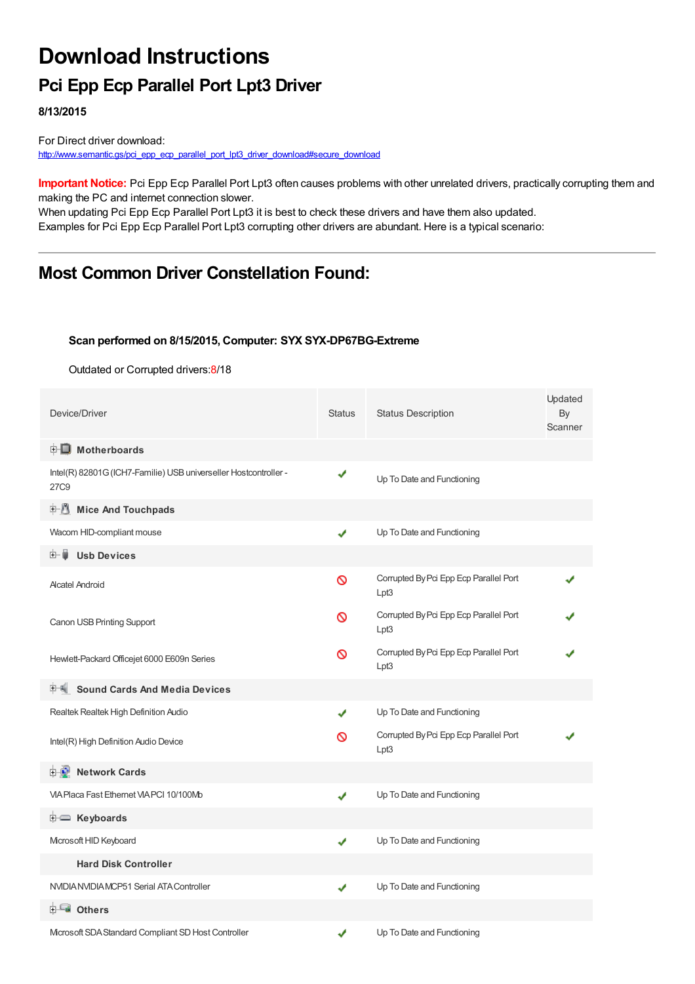# **Download Instructions**

## **Pci Epp Ecp Parallel Port Lpt3 Driver**

**8/13/2015**

For Direct driver download: [http://www.semantic.gs/pci\\_epp\\_ecp\\_parallel\\_port\\_lpt3\\_driver\\_download#secure\\_download](http://www.semantic.gs/pci_epp_ecp_parallel_port_lpt3_driver_download#secure_download)

**Important Notice:** Pci Epp Ecp Parallel Port Lpt3 often causes problems with other unrelated drivers, practically corrupting them and making the PC and internet connection slower.

When updating Pci Epp Ecp Parallel Port Lpt3 it is best to check these drivers and have them also updated. Examples for Pci Epp Ecp Parallel Port Lpt3 corrupting other drivers are abundant. Here is a typical scenario:

## **Most Common Driver Constellation Found:**

#### **Scan performed on 8/15/2015, Computer: SYX SYX-DP67BG-Extreme**

Outdated or Corrupted drivers:8/18

| Device/Driver                                                            | <b>Status</b> | <b>Status Description</b>                      | Updated<br>By<br>Scanner |  |
|--------------------------------------------------------------------------|---------------|------------------------------------------------|--------------------------|--|
| <b>E</b> Motherboards                                                    |               |                                                |                          |  |
| Intel(R) 82801G (ICH7-Familie) USB universeller Hostcontroller -<br>27C9 | ✔             | Up To Date and Functioning                     |                          |  |
| <b>E.</b> Mice And Touchpads                                             |               |                                                |                          |  |
| Wacom HID-compliant mouse                                                | ✔             | Up To Date and Functioning                     |                          |  |
| <b>Usb Devices</b><br>⊞… ∎                                               |               |                                                |                          |  |
| <b>Alcatel Android</b>                                                   | Ø             | Corrupted By Pci Epp Ecp Parallel Port<br>Lpt3 |                          |  |
| Canon USB Printing Support                                               | Ø             | Corrupted By Pci Epp Ecp Parallel Port<br>Lpt3 |                          |  |
| Hewlett-Packard Officejet 6000 E609n Series                              | ∾             | Corrupted By Pci Epp Ecp Parallel Port<br>Lpt3 |                          |  |
| <b>Sound Cards And Media Devices</b>                                     |               |                                                |                          |  |
| Realtek Realtek High Definition Audio                                    | ✔             | Up To Date and Functioning                     |                          |  |
| Intel(R) High Definition Audio Device                                    |               | Corrupted By Pci Epp Ecp Parallel Port<br>Lpt3 |                          |  |
| <b>E-D</b> Network Cards                                                 |               |                                                |                          |  |
| VIA Placa Fast Ethernet VIA PCI 10/100Mb                                 |               | Up To Date and Functioning                     |                          |  |
| <b>E</b> Keyboards                                                       |               |                                                |                          |  |
| Microsoft HID Keyboard                                                   | ✔             | Up To Date and Functioning                     |                          |  |
| <b>Hard Disk Controller</b>                                              |               |                                                |                          |  |
| NVIDIA NVIDIA MCP51 Serial ATA Controller                                | ✔             | Up To Date and Functioning                     |                          |  |
| <b>heta</b> Others                                                       |               |                                                |                          |  |
| Microsoft SDA Standard Compliant SD Host Controller                      | √             | Up To Date and Functioning                     |                          |  |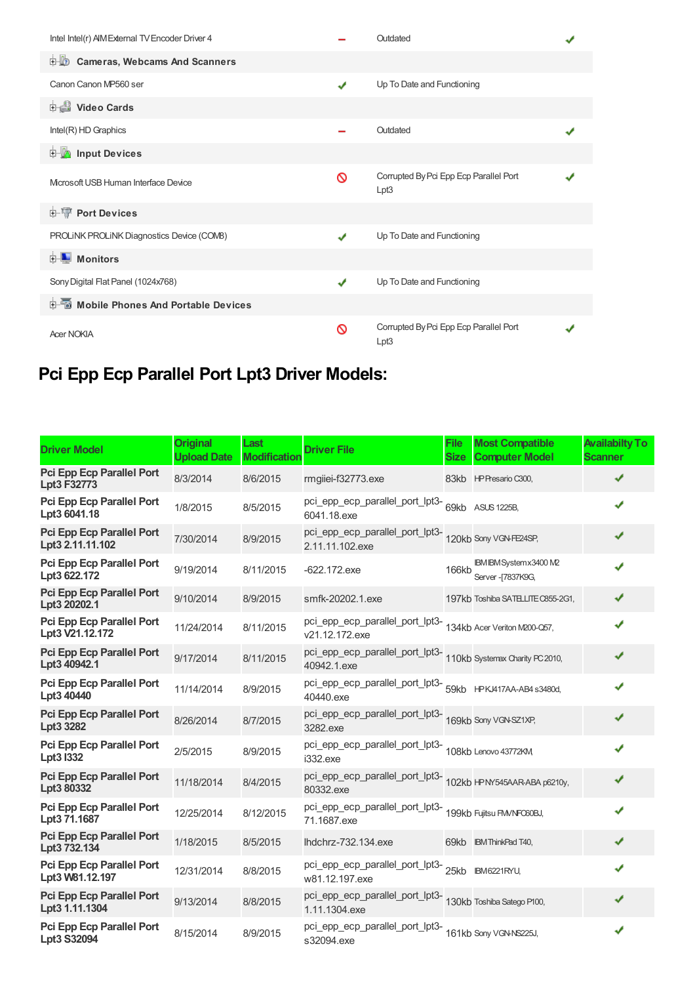| Intel Intel(r) AIM External TV Encoder Driver 4 |   | Outdated                                       |  |
|-------------------------------------------------|---|------------------------------------------------|--|
| <b>Cameras, Webcams And Scanners</b><br>中心      |   |                                                |  |
| Canon Canon MP560 ser                           | ✔ | Up To Date and Functioning                     |  |
| <b>Dideo Cards</b>                              |   |                                                |  |
| Intel(R) HD Graphics                            |   | Outdated                                       |  |
| <b>E-M</b> Input Devices                        |   |                                                |  |
| Microsoft USB Human Interface Device            | ଷ | Corrupted By Pci Epp Ecp Parallel Port<br>Lpt3 |  |
| <b>E-TP</b> Port Devices                        |   |                                                |  |
| PROLINK PROLINK Diagnostics Device (COMB)       |   | Up To Date and Functioning                     |  |
| Monitors<br>中山                                  |   |                                                |  |
| Sony Digital Flat Panel (1024x768)              | J | Up To Date and Functioning                     |  |
| Mobile Phones And Portable Devices              |   |                                                |  |
| <b>Acer NOKIA</b>                               | ଷ | Corrupted By Pci Epp Ecp Parallel Port<br>Lpt3 |  |

## **Pci Epp Ecp Parallel Port Lpt3 Driver Models:**

| <b>Driver Model</b>                                  | <b>Original</b><br><b>Upload Date</b> | Last<br><b>Modification</b> | <b>Driver File</b>                                                                | <b>File</b><br><b>Size</b> | <b>Most Compatible</b><br><b>Computer Model</b> | <b>Availabilty To</b><br><b>Scanner</b> |
|------------------------------------------------------|---------------------------------------|-----------------------------|-----------------------------------------------------------------------------------|----------------------------|-------------------------------------------------|-----------------------------------------|
| <b>Pci Epp Ecp Parallel Port</b><br>Lpt3 F32773      | 8/3/2014                              | 8/6/2015                    | rmgiiei-f32773.exe                                                                |                            | 83kb HP Presario C300,                          | ✔                                       |
| <b>Pci Epp Ecp Parallel Port</b><br>Lpt3 6041.18     | 1/8/2015                              | 8/5/2015                    | pci_epp_ecp_parallel_port_lpt3-<br>69kb ASUS 1225B,<br>6041.18.exe                |                            |                                                 | ✔                                       |
| <b>Pci Epp Ecp Parallel Port</b><br>Lpt3 2.11.11.102 | 7/30/2014                             | 8/9/2015                    | pci_epp_ecp_parallel_port_lpt3-<br>120kb Sony VGN-FE24SP,<br>2.11.11.102.exe      |                            |                                                 | ✔                                       |
| <b>Pci Epp Ecp Parallel Port</b><br>Lpt3 622.172     | 9/19/2014                             | 8/11/2015                   | $-622.172$ .exe                                                                   | 166kb                      | IBM IBM System x3400 M2<br>Server - [7837K9G,   | ✔                                       |
| <b>Pci Epp Ecp Parallel Port</b><br>Lpt3 20202.1     | 9/10/2014                             | 8/9/2015                    | smfk-20202.1.exe                                                                  |                            | 197kb Toshiba SATELLITE C855-2G1,               | ✔                                       |
| <b>Pci Epp Ecp Parallel Port</b><br>Lpt3 V21.12.172  | 11/24/2014                            | 8/11/2015                   | pci_epp_ecp_parallel_port_lpt3-<br>134kb Acer Veriton M200-Q57,<br>v21.12.172.exe |                            |                                                 | ✔                                       |
| Pci Epp Ecp Parallel Port<br>Lpt3 40942.1            | 9/17/2014                             | 8/11/2015                   | pci_epp_ecp_parallel_port_lpt3-<br>110kb Systemax Charity PC 2010,<br>40942.1.exe |                            |                                                 | ✔                                       |
| <b>Pci Epp Ecp Parallel Port</b><br>Lpt3 40440       | 11/14/2014                            | 8/9/2015                    | pci_epp_ecp_parallel_port_lpt3-<br>59kb HPKJ417AA-AB4 s3480d,<br>40440.exe        |                            |                                                 | ✔                                       |
| <b>Pci Epp Ecp Parallel Port</b><br>Lpt3 3282        | 8/26/2014                             | 8/7/2015                    | pci_epp_ecp_parallel_port_lpt3-<br>169kb Sony VGN-SZ1XP,<br>3282.exe              |                            |                                                 | ✔                                       |
| <b>Pci Epp Ecp Parallel Port</b><br>Lpt3 I332        | 2/5/2015                              | 8/9/2015                    | pci_epp_ecp_parallel_port_lpt3-<br>108kb Lenovo 43772KM<br>i332.exe               |                            |                                                 | ✔                                       |
| <b>Pci Epp Ecp Parallel Port</b><br>Lpt3 80332       | 11/18/2014                            | 8/4/2015                    | pci_epp_ecp_parallel_port_lpt3-<br>102kb HPMS45AARABA p6210y,<br>80332.exe        |                            |                                                 | ✔                                       |
| <b>Pci Epp Ecp Parallel Port</b><br>Lpt3 71.1687     | 12/25/2014                            | 8/12/2015                   | pci_epp_ecp_parallel_port_lpt3-<br>199kb Fujitsu FM/NFO60BJ,<br>71.1687.exe       |                            |                                                 | ✔                                       |
| Pci Epp Ecp Parallel Port<br>Lpt3 732.134            | 1/18/2015                             | 8/5/2015                    | lhdchrz-732.134.exe                                                               |                            | 69kb IBM ThinkPad T40,                          | √                                       |
| <b>Pci Epp Ecp Parallel Port</b><br>Lpt3 W81.12.197  | 12/31/2014                            | 8/8/2015                    | pci_epp_ecp_parallel_port_lpt3-<br>25kb BM6221RYU,<br>w81.12.197.exe              |                            |                                                 | ✔                                       |
| <b>Pci Epp Ecp Parallel Port</b><br>Lpt3 1.11.1304   | 9/13/2014                             | 8/8/2015                    | pci_epp_ecp_parallel_port_lpt3-<br>130kb Toshiba Satego P100,<br>1.11.1304.exe    |                            |                                                 | ✔                                       |
| <b>Pci Epp Ecp Parallel Port</b><br>Lpt3 S32094      | 8/15/2014                             | 8/9/2015                    | pci_epp_ecp_parallel_port_lpt3-<br>161kb Sony VGN-NS225J,<br>s32094.exe           |                            |                                                 | ✔                                       |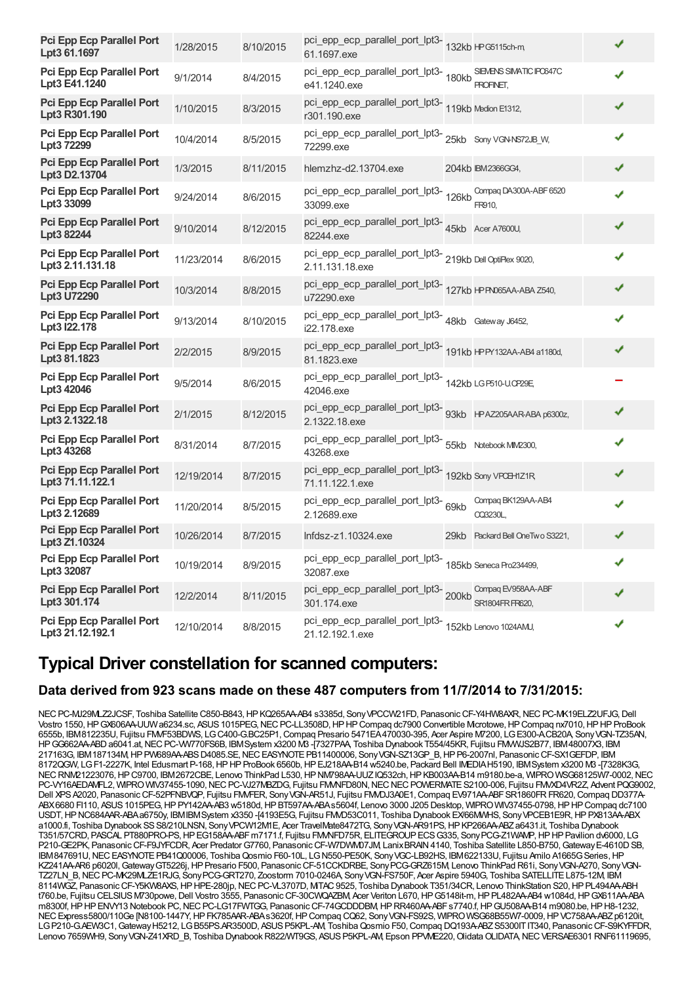| <b>Pci Epp Ecp Parallel Port</b><br>Lpt3 61.1697     | 1/28/2015  | 8/10/2015 | pci_epp_ecp_parallel_port_lpt3-<br>132kb HPG5115ch-m<br>61.1697.exe                     |                                  | ✔ |  |
|------------------------------------------------------|------------|-----------|-----------------------------------------------------------------------------------------|----------------------------------|---|--|
| <b>Pci Epp Ecp Parallel Port</b><br>Lpt3 E41.1240    | 9/1/2014   | 8/4/2015  | pci_epp_ecp_parallel_port_lpt3-<br>e41.1240.exe example T80kb FROFINET,<br>e41.1240.exe |                                  | ✔ |  |
| Pci Epp Ecp Parallel Port<br>Lpt3 R301.190           | 1/10/2015  | 8/3/2015  | pci_epp_ecp_parallel_port_lpt3-<br>119kb Medion E1312,<br>r301.190.exe                  |                                  | ✔ |  |
| <b>Pci Epp Ecp Parallel Port</b><br>Lpt3 72299       | 10/4/2014  | 8/5/2015  | pci_epp_ecp_parallel_port_lpt3-25kb Sony VGN-NS72JB_W,<br>72299.exe                     |                                  | ✔ |  |
| Pci Epp Ecp Parallel Port<br>Lpt3 D2.13704           | 1/3/2015   | 8/11/2015 | hlemzhz-d2.13704.exe                                                                    | 204kb IBM2366GG4,                | ✔ |  |
| <b>Pci Epp Ecp Parallel Port</b><br>Lpt3 33099       | 9/24/2014  | 8/6/2015  | pci_epp_ecp_parallel_port_lpt3-<br>126kb<br>33099.exe                                   | Compag DA300A-ABF 6520<br>FR910, | ✔ |  |
| Pci Epp Ecp Parallel Port<br>Lpt3 82244              | 9/10/2014  | 8/12/2015 | pci_epp_ecp_parallel_port_lpt3-45kb Acer A7600U,<br>82244.exe                           |                                  | ✔ |  |
| Pci Epp Ecp Parallel Port<br>Lpt3 2.11.131.18        | 11/23/2014 | 8/6/2015  | pci_epp_ecp_parallel_port_lpt3-<br>219kb Dell OptiFlex 9020,<br>2.11.131.18.exe         |                                  | ✔ |  |
| Pci Epp Ecp Parallel Port<br>Lpt3 U72290             | 10/3/2014  | 8/8/2015  | pci_epp_ecp_parallel_port_lpt3-<br>127kb IPPN065AA-ABA Z540,<br>u72290.exe              |                                  | ✔ |  |
| <b>Pci Epp Ecp Parallel Port</b><br>Lpt3 I22.178     | 9/13/2014  | 8/10/2015 | pci_epp_ecp_parallel_port_lpt3-48kb Gateway J6452,<br>i22.178.exe                       |                                  | ✔ |  |
| <b>Pci Epp Ecp Parallel Port</b><br>Lpt3 81.1823     | 2/2/2015   | 8/9/2015  | pci_epp_ecp_parallel_port_lpt3-<br>191kb HPPY132AA-AB4 a1180d,<br>81.1823.exe           |                                  | ✔ |  |
| <b>Pci Epp Ecp Parallel Port</b><br>Lpt3 42046       | 9/5/2014   | 8/6/2015  | pci_epp_ecp_parallel_port_lpt3-<br>142kb LGP510-UCP29E<br>42046.exe                     |                                  |   |  |
| Pci Epp Ecp Parallel Port<br>Lpt3 2.1322.18          | 2/1/2015   | 8/12/2015 | pci_epp_ecp_parallel_port_lpt3-g3kb HPAZ205AARABA p6300z,<br>2.1322.18.exe              |                                  | ✔ |  |
| <b>Pci Epp Ecp Parallel Port</b><br>Lpt3 43268       | 8/31/2014  | 8/7/2015  | pci_epp_ecp_parallel_port_lpt3-<br>55kb Notebook MM2300,<br>43268.exe                   |                                  | ✔ |  |
| <b>Pci Epp Ecp Parallel Port</b><br>Lpt3 71.11.122.1 | 12/19/2014 | 8/7/2015  | pci_epp_ecp_parallel_port_lpt3-<br>192kb Sony VPCB+1Z1R<br>71.11.122.1.exe              |                                  | ✔ |  |
| <b>Pci Epp Ecp Parallel Port</b><br>Lpt3 2.12689     | 11/20/2014 | 8/5/2015  | pci_epp_ecp_parallel_port_lpt3-<br>69kb<br>2.12689.exe                                  | Compag BK129AA-AB4<br>CQ3230L,   | ✔ |  |
| <b>Pci Epp Ecp Parallel Port</b><br>Lpt3 Z1.10324    | 10/26/2014 | 8/7/2015  | $Infdsz-z1.10324.exe$                                                                   | 29kb Packard Bell OneTwo S3221,  | ✔ |  |
| <b>Pci Epp Ecp Parallel Port</b><br>Lpt3 32087       | 10/19/2014 | 8/9/2015  | pci_epp_ecp_parallel_port_lpt3-<br>185kb Seneca Pro234499,<br>32087.exe                 |                                  |   |  |
| Pci Epp Ecp Parallel Port<br>Lpt3 301.174            | 12/2/2014  | 8/11/2015 | pci_epp_ecp_parallel_port_lpt3-200kb Compaq EV958AA-ABF<br>301.174.exe SR1804FR FF620,  |                                  | ✔ |  |
| Pci Epp Ecp Parallel Port<br>Lpt3 21.12.192.1        | 12/10/2014 | 8/8/2015  | pci_epp_ecp_parallel_port_lpt3-<br>152kb Lenovo 1024AMJ,<br>21.12.192.1.exe             |                                  | ✔ |  |

### **Typical Driver constellation for scanned computers:**

#### **Data derived from 923 scans made on these 487 computers from 11/7/2014 to 7/31/2015:**

NEC PC-MJ29MLZ2JCSF, Toshiba Satellite C850-B843, HP KQ265AA-AB4 s3385d, Sony VPCCW21FD, Panasonic CF-Y4HW8AXR, NEC PC-MK19ELZ2UFJG, Dell Vostro 1550, HP GX606AA-UUW a6234.sc, ASUS 1015PEG, NEC PC-LL3508D, HP HP Compaq dc7900 Convertible Microtowe, HP Compaq nx7010, HP HP ProBook 6555b, IBM812235U, Fujitsu FMVF53BDWS, LGC400-G.BC25P1,Compaq Presario 5471EA470030-395, Acer Aspire M7200, LGE300-A.CB20A, SonyVGN-TZ35AN, HPGG662AA-ABDa6041.at,NECPC-VW770FS6B, IBMSystem x3200 M3 -[7327PAA, Toshiba Dynabook T554/45KR, Fujitsu FMVWJS2B77, IBM48007X3, IBM 217163G, IBM187134M,HPPW689AA-ABSD4085.SE,NECEASYNOTEPB11400006, SonyVGN-SZ13GP\_B,HPP6-2007nl, PanasonicCF-SX1GEFDP, IBM 8172QGW, LGF1-2227K, Intel Edusmart P-168,HPHPProBook 6560b,HPEJ218AA-B14 w5240.be, Packard Bell IMEDIAH5190, IBMSystem x3200 M3 -[7328K3G, NEC RNM21223076, HP C9700, IBM2672CBE, Lenovo ThinkPad L530, HP NM798AA-UUZIQ532ch, HP KB003AA-B14 m9180.be-a, WIPRO WSG68125W7-0002, NEC PC-VY16AEDAMFL2, WIPRO WIV37455-1090, NEC PC-VJ27MBZDG, Fujitsu FMMFD80N, NEC NEC POWERMATE S2100-006, Fujitsu FMVXD4VR2Z, Advent PQG9002, Dell XPS A2020, Panasonic CF-52PFNBVQP, Fujitsu FMVFER, Sony VGN-AR51J, Fujitsu FMVDJ3A0E1, Compaq EV971AA-ABF SR1860FR FR620, Compaq DD377A-ABX6680 FI110, ASUS1015PEG,HPPY142AA-AB3 w5180d,HPBT597AA-ABAs5604f, Lenovo 3000 J205 Desktop, WIPROWIV37455-0798,HPHPCompaq dc7100 USDT, HP NC684AAR-ABA a6750y, IBMIBMSystem x3350 -[4193E5G, Fujitsu FM/D53C011, Toshiba Dynabook EX/66MMHS, Sony VPCEB1E9R, HP PX813AA-ABX a1000.fi, Toshiba Dynabook SS S8/210LNSN, Sony VPCW12M1E, Acer TravelMate8472TG, Sony VGN-AR91PS, HP KP266AA-ABZ a6431.it, Toshiba Dynabook T351/57CRD, PASCAL PT880PRO-PS,HPEG158AA-ABFm7171.f, Fujitsu FMVNFD75R, ELITEGROUPECSG335, SonyPCG-Z1WAMP,HPHPPavilion dv6000, LG P210-GE2PK, Panasonic CF-F9JYFCDR, Acer Predator G7760, Panasonic CF-W7DWM07JM, Lanix BRAIN 4140, Toshiba Satellite L850-B750, Gateway E-4610D SB, IBM847691U, NEC EASYNOTE PB41Q00006, Toshiba Qosmio F60-10L, LG N550-PE50K, Sony VGC-LB92HS, IBM622133U, Fujitsu Amilo A1665G Series, HP KZ241AA-AR6 p6020l, Gateway GT5226j, HP Presario F500, Panasonic CF-51CCKDRBE, Sony PCG-GRZ615M, Lenovo ThinkPad R61i, Sony VGN-A270, Sony VGN-TZ27LN\_B,NECPC-MK29MLZE1RJG, SonyPCG-GRT270, Zoostorm 7010-0246A, SonyVGN-FS750F, Acer Aspire 5940G, Toshiba SATELLITEL875-12M, IBM 8114WGZ, Panasonic CF-Y5KW8AXS, HP HPE-280jp, NEC PC-VL3707D, MTAC 9525, Toshiba Dynabook T351/34CR, Lenovo ThinkStation S20, HP PL494AA-ABH t760.be, Fujitsu CELSIUSM730powe,Dell Vostro 3555, PanasonicCF-30CWQAZBM, Acer Veriton L670,HPG5148it-m,HPPL482AA-AB4 w1084d,HPGX611AA-ABA m8300f, HP HP ENVY13 Notebook PC, NEC PC-LG17FWTGG, Panasonic CF-74GCDDDBM, HP RR460AA-ABF s7740.f, HP GU508AA-B14 m9080.be, HP H8-1232, NEC Express5800/110Ge [N8100-1447Y, HP FK785AAR-ABAs3620f, HP Compaq CQ62, Sony VGN-FS92S, WIPRO WSG68B55W7-0009, HP VC758AA-ABZp6120it, LGP210-G.AEW3C1,GatewayH5212, LGB55PS.AR3500D, ASUSP5KPL-AM, ToshibaQosmio F50,Compaq DQ193A-ABZS5300ITIT340, PanasonicCF-S9KYFFDR, Lenovo 7659WH9, Sony VGN-Z41XRD B, Toshiba Dynabook R822/WT9GS, ASUS P5KPL-AM, Epson PPVME220, Olidata OLIDATA, NECVERSAE6301 RNF61119695,